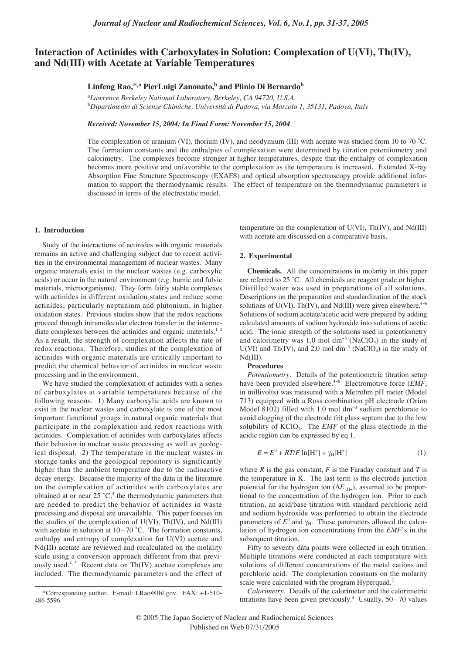# **Interaction of Actinides with Carboxylates in Solution: Complexation of U(VI), Th(IV), and Nd(III) with Acetate at Variable Temperatures**

## Linfeng Rao,<sup>\*,a</sup> PierLuigi Zanonato,<sup>b</sup> and Plinio Di Bernardo<sup>b</sup>

a *Lawrence Berkeley National Laboratory, Berkeley, CA 94720, U.S.A.* b *Dipartimento di Scienze Chimiche, Università di Padova, via Marzolo 1, 35131, Padova, Italy*

*Received: November 15, 2004; In Final Form: November 15, 2004*

The complexation of uranium (VI), thorium (IV), and neodymium (III) with acetate was studied from 10 to 70 ˚C. The formation constants and the enthalpies of complexation were determined by titration potentiometry and calorimetry. The complexes become stronger at higher temperatures, despite that the enthalpy of complexation becomes more positive and unfavorable to the complexation as the temperature is increased. Extended X-ray Absorption Fine Structure Spectroscopy (EXAFS) and optical absorption spectroscopy provide additional information to support the thermodynamic results. The effect of temperature on the thermodynamic parameters is discussed in terms of the electrostatic model.

### **1. Introduction**

Study of the interactions of actinides with organic materials remains an active and challenging subject due to recent activities in the environmental management of nuclear wastes. Many organic materials exist in the nuclear wastes (e.g. carboxylic acids) or occur in the natural environment (e.g. humic and fulvic materials, microorganisms). They form fairly stable complexes with actinides in different oxidation states and reduce some actinides, particularly neptunium and plutonium, in higher oxidation states. Previous studies show that the redox reactions proceed through intramolecular electron transfer in the intermediate complexes between the actinides and organic materials.<sup>1, 2</sup> As a result, the strength of complexation affects the rate of redox reactions. Therefore, studies of the complexation of actinides with organic materials are critically important to predict the chemical behavior of actinides in nuclear waste processing and in the environment.

We have studied the complexation of actinides with a series of carboxylates at variable temperatures because of the following reasons. 1) Many carboxylic acids are known to exist in the nuclear wastes and carboxylate is one of the most important functional groups in natural organic materials that participate in the complexation and redox reactions with actinides. Complexation of actinides with carboxylates affects their behavior in nuclear waste processing as well as geological disposal. 2) The temperature in the nuclear wastes in storage tanks and the geological repository is significantly higher than the ambient temperature due to the radioactive decay energy. Because the majority of the data in the literature on the complexation of actinides with carboxylates are obtained at or near  $25 \text{ °C}$ ,<sup>3</sup> the thermodynamic parameters that are needed to predict the behavior of actinides in waste processing and disposal are unavailable. This paper focuses on the studies of the complexation of U(VI), Th(IV), and Nd(III) with acetate in solution at  $10-70$  °C. The formation constants, enthalpy and entropy of complexation for U(VI) acetate and Nd(III) acetate are reviewed and recalculated on the molality scale using a conversion approach different from that previously used.<sup>4, 5</sup> Recent data on Th(IV) acetate complexes are included. The thermodynamic parameters and the effect of temperature on the complexation of U(VI), Th(IV), and Nd(III) with acetate are discussed on a comparative basis.

#### **2. Experimental**

**Chemicals.** All the concentrations in molarity in this paper are referred to 25 ˚C. All chemicals are reagent grade or higher. Distilled water was used in preparations of all solutions. Descriptions on the preparation and standardization of the stock solutions of U(VI), Th(IV), and Nd(III) were given elsewhere. $4-6$ Solutions of sodium acetate/acetic acid were prepared by adding calculated amounts of sodium hydroxide into solutions of acetic acid. The ionic strength of the solutions used in potentiometry and calorimetry was 1.0 mol dm<sup>-3</sup> (NaClO<sub>4</sub>) in the study of U(VI) and Th(IV), and 2.0 mol dm<sup>-3</sup> (NaClO<sub>4</sub>) in the study of Nd(III).

#### **Procedures**

*Potentiometry.* Details of the potentiometric titration setup have been provided elsewhere.<sup>4−6</sup> Electromotive force (*EMF*, in millivolts) was measured with a Metrohm pH meter (Model 713) equipped with a Ross combination pH electrode (Orion Model 8102) filled with 1.0 mol dm<sup>−</sup><sup>3</sup> sodium perchlorate to avoid clogging of the electrode frit glass septum due to the low solubility of KClO4. The *EMF* of the glass electrode in the acidic region can be expressed by eq 1.

$$
E = E^{0} + RT/F \ln[H^{+}] + \gamma_{H}[H^{+}] \tag{1}
$$

where  $R$  is the gas constant,  $F$  is the Faraday constant and  $T$  is the temperature in K. The last term is the electrode junction potential for the hydrogen ion ( $\Delta E$ <sub>i,H+</sub>), assumed to be proportional to the concentration of the hydrogen ion. Prior to each titration, an acid/base titration with standard perchloric acid and sodium hydroxide was performed to obtain the electrode parameters of  $E^0$  and  $\gamma_H$ . These parameters allowed the calculation of hydrogen ion concentrations from the *EMF*'s in the subsequent titration.

Fifty to seventy data points were collected in each titration. Multiple titrations were conducted at each temperature with solutions of different concentrations of the metal cations and perchloric acid. The complexation constants on the molarity scale were calculated with the program Hyperquad.<sup>7</sup>

*Calorimetry.* Details of the calorimeter and the calorimetric titrations have been given previously.<sup>4</sup> Usually,  $50 - 70$  values

<sup>\*</sup>Corresponding author. E-mail: LRao@lbl.gov. FAX: +1-510- 486-5596.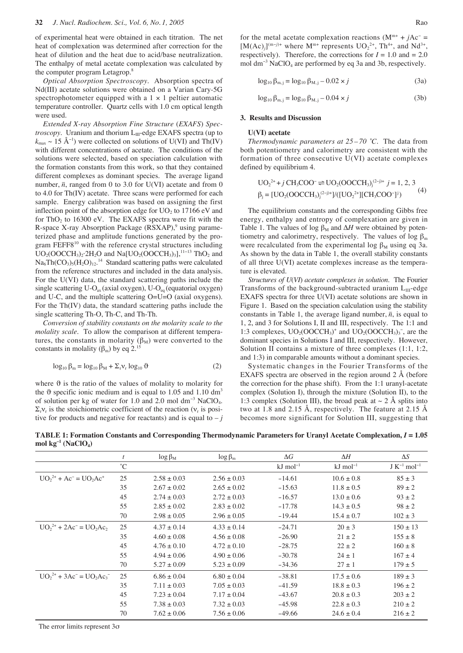of experimental heat were obtained in each titration. The net heat of complexation was determined after correction for the heat of dilution and the heat due to acid/base neutralization. The enthalpy of metal acetate complexation was calculated by the computer program Letagrop.<sup>8</sup>

*Optical Absorption Spectroscopy.* Absorption spectra of Nd(III) acetate solutions were obtained on a Varian Cary-5G spectrophotometer equipped with a  $1 \times 1$  peltier automatic temperature controller. Quartz cells with 1.0 cm optical length were used.

*Extended X-ray Absorption Fine Structure* (*EXAFS*) *Spectroscopy*. Uranium and thorium L<sub>III</sub>-edge EXAFS spectra (up to  $k_{\text{max}} \sim 15 \text{ Å}^{-1}$ ) were collected on solutions of U(VI) and Th(IV) with different concentrations of acetate. The conditions of the solutions were selected, based on speciation calculation with the formation constants from this work, so that they contained different complexes as dominant species. The average ligand number,  $\bar{n}$ , ranged from 0 to 3.0 for U(VI) acetate and from 0 to 4.0 for Th(IV) acetate. Three scans were performed for each sample. Energy calibration was based on assigning the first inflection point of the absorption edge for  $UO<sub>2</sub>$  to 17166 eV and for Th $O_2$  to 16300 eV. The EXAFS spectra were fit with the R-space X-ray Absorption Package (RSXAP),<sup>9</sup> using parameterized phase and amplitude functions generated by the program FEFF8<sup>10</sup> with the reference crystal structures including UO<sub>2</sub>(OOCCH<sub>3</sub>)<sub>2</sub>·2H<sub>2</sub>O and Na[UO<sub>2</sub>(OOCCH<sub>3</sub>)<sub>3</sub>],<sup>11-13</sup> ThO<sub>2</sub> and  $Na_6Th(CO_3)_5(H_2O)_{12}$ <sup>14</sup> Standard scattering paths were calculated from the reference structures and included in the data analysis. For the U(VI) data, the standard scattering paths include the single scattering  $U$ - $O_{ax}$  (axial oxygen),  $U$ - $O_{eq}$  (equatorial oxygen) and U-C, and the multiple scattering O=U=O (axial oxygens). For the Th(IV) data, the standard scattering paths include the single scattering Th-O, Th-C, and Th-Th.

*Conversion of stability constants on the molarity scale to the molality scale.* To allow the comparison at different temperatures, the constants in molarity  $(\beta_M)$  were converted to the constants in molality ( $\beta_m$ ) by eq 2.<sup>15</sup>

$$
\log_{10} \beta_{\rm m} = \log_{10} \beta_{\rm M} + \Sigma_{\rm r} v_{\rm r} \log_{10} \vartheta \tag{2}
$$

where  $\vartheta$  is the ratio of the values of molality to molarity for the  $\vartheta$  specific ionic medium and is equal to 1.05 and 1.10 dm<sup>3</sup> of solution per kg of water for 1.0 and 2.0 mol dm<sup>-3</sup> NaClO<sub>4</sub>.  $\Sigma_r v_r$  is the stoichiometric coefficient of the reaction ( $v_r$  is positive for products and negative for reactants) and is equal to  $-i$  for the metal acetate complexation reactions ( $M<sup>m+</sup> + jAc<sup>-</sup> =$  $[M(Ac)_j]^{(m-j)+}$  where  $M^{m+}$  represents  $UO_2^{2+}$ , Th<sup>4+</sup>, and Nd<sup>3+</sup>, respectively). Therefore, the corrections for  $I = 1.0$  and  $= 2.0$ mol dm<sup>-3</sup> NaClO<sub>4</sub> are performed by eq 3a and 3b, respectively.

$$
\log_{10} \beta_{m,j} = \log_{10} \beta_{M,j} - 0.02 \times j \tag{3a}
$$

$$
\log_{10} \beta_{m,j} = \log_{10} \beta_{M,j} - 0.04 \times j \tag{3b}
$$

#### **3. Results and Discussion**

#### **U(VI) acetate**

*Thermodynamic parameters at 25 – 70 ˚C*. The data from both potentiometry and calorimetry are consistent with the formation of three consecutive U(VI) acetate complexes defined by equilibrium 4.

$$
UO_2^{2+} + j CH_3COO^- \rightleftharpoons UO_2(OOCCH_3)^{(2-j)+} j = 1, 2, 3
$$
  

$$
\beta_j = [UO_2(OOCCH_3)^{(2-j)+}]/([UO_2^{2+}][CH_3COO^-]^j)
$$
 (4)

The equilibrium constants and the corresponding Gibbs free energy, enthalpy and entropy of complexation are given in Table 1. The values of log  $\beta_M$  and  $\Delta H$  were obtained by potentiometry and calorimetry, respectively. The values of log  $\beta_m$ were recalculated from the experimental log  $\beta_M$  using eq 3a. As shown by the data in Table 1, the overall stability constants of all three U(VI) acetate complexes increase as the temperature is elevated.

*Structures of U*(*VI*) *acetate complexes in solution*. The Fourier Transforms of the background-subtracted uranium  $L_{III}$ -edge EXAFS spectra for three U(VI) acetate solutions are shown in Figure 1. Based on the speciation calculation using the stability constants in Table 1, the average ligand number,  $\bar{n}$ , is equal to 1, 2, and 3 for Solutions I, II and III, respectively. The 1:1 and 1:3 complexes,  $UO_2(OOCCH_3)^+$  and  $UO_2(OOCCH_3)_3^-$ , are the dominant species in Solutions I and III, respectively. However, Solution II contains a mixture of three complexes (1:1, 1:2, and 1:3) in comparable amounts without a dominant species.

Systematic changes in the Fourier Transforms of the EXAFS spectra are observed in the region around 2 Å (before the correction for the phase shift). From the 1:1 uranyl-acetate complex (Solution I), through the mixture (Solution II), to the 1:3 complex (Solution III), the broad peak at  $\sim 2$  Å splits into two at 1.8 and 2.15 Å, respectively. The feature at 2.15 Å becomes more significant for Solution III, suggesting that

| $\Delta S$<br>$\Delta G$<br>$\Delta H$<br>$\log \beta_m$<br>$\log \beta_{\rm M}$<br>$\boldsymbol{t}$<br>$^{\circ}C$<br>$J K^{-1}$ mol <sup>-1</sup><br>$kJ$ mol <sup>-1</sup><br>$kJ \text{ mol}^{-1}$<br>$UO_2^{2+} + Ac^- = UO_2Ac^+$<br>25<br>$85 \pm 3$<br>$-14.61$<br>$10.6 \pm 0.8$<br>$2.58 \pm 0.03$<br>$2.56 \pm 0.03$<br>35<br>$89 \pm 2$<br>$2.67 \pm 0.02$<br>$2.65 \pm 0.02$<br>$-15.63$<br>$11.8 \pm 0.5$<br>45<br>$2.74 \pm 0.03$<br>$13.0 \pm 0.6$<br>$93 \pm 2$<br>$2.72 \pm 0.03$<br>$-16.57$ |  |
|-----------------------------------------------------------------------------------------------------------------------------------------------------------------------------------------------------------------------------------------------------------------------------------------------------------------------------------------------------------------------------------------------------------------------------------------------------------------------------------------------------------------|--|
|                                                                                                                                                                                                                                                                                                                                                                                                                                                                                                                 |  |
|                                                                                                                                                                                                                                                                                                                                                                                                                                                                                                                 |  |
|                                                                                                                                                                                                                                                                                                                                                                                                                                                                                                                 |  |
|                                                                                                                                                                                                                                                                                                                                                                                                                                                                                                                 |  |
|                                                                                                                                                                                                                                                                                                                                                                                                                                                                                                                 |  |
| 55<br>$98 \pm 2$<br>$2.85 \pm 0.02$<br>$14.3 \pm 0.5$<br>$2.83 \pm 0.02$<br>$-17.78$                                                                                                                                                                                                                                                                                                                                                                                                                            |  |
| 70<br>$2.98 \pm 0.05$<br>$2.96 \pm 0.05$<br>$-19.44$<br>$15.4 \pm 0.7$<br>$102 \pm 3$                                                                                                                                                                                                                                                                                                                                                                                                                           |  |
| 25<br>$UO_2^{2+} + 2Ac = UO_2Ac_2$<br>$4.37 \pm 0.14$<br>$150 \pm 13$<br>$4.33 \pm 0.14$<br>$-24.71$<br>$20 \pm 3$                                                                                                                                                                                                                                                                                                                                                                                              |  |
| 35<br>$4.60 \pm 0.08$<br>$-26.90$<br>$21 \pm 2$<br>$155 \pm 8$<br>$4.56 \pm 0.08$                                                                                                                                                                                                                                                                                                                                                                                                                               |  |
| 45<br>$160 \pm 8$<br>$4.76 \pm 0.10$<br>$4.72 \pm 0.10$<br>$-28.75$<br>$22 \pm 2$                                                                                                                                                                                                                                                                                                                                                                                                                               |  |
| 55<br>$167 \pm 4$<br>$4.94 \pm 0.06$<br>$4.90 \pm 0.06$<br>$-30.78$<br>$24 \pm 1$                                                                                                                                                                                                                                                                                                                                                                                                                               |  |
| 70<br>$5.27 \pm 0.09$<br>$179 \pm 5$<br>$5.23 \pm 0.09$<br>$-34.36$<br>$27 \pm 1$                                                                                                                                                                                                                                                                                                                                                                                                                               |  |
| $UO_2^{2+} + 3Ac = UO_2Ac_3$<br>25<br>$189 \pm 3$<br>$6.86 \pm 0.04$<br>$6.80 \pm 0.04$<br>$-38.81$<br>$17.5 \pm 0.6$                                                                                                                                                                                                                                                                                                                                                                                           |  |
| 35<br>$7.11 \pm 0.03$<br>$-41.59$<br>$18.8 \pm 0.3$<br>$196 \pm 2$<br>$7.05 \pm 0.03$                                                                                                                                                                                                                                                                                                                                                                                                                           |  |
| 45<br>$7.23 \pm 0.04$<br>$-43.67$<br>$20.8 \pm 0.3$<br>$203 \pm 2$<br>$7.17 \pm 0.04$                                                                                                                                                                                                                                                                                                                                                                                                                           |  |
| 55<br>$22.8 \pm 0.3$<br>$210 \pm 2$<br>$7.38 \pm 0.03$<br>$7.32 \pm 0.03$<br>$-45.98$                                                                                                                                                                                                                                                                                                                                                                                                                           |  |
| 70<br>$7.62 \pm 0.06$<br>$24.6 \pm 0.4$<br>$216 \pm 2$<br>$7.56 \pm 0.06$<br>$-49.66$                                                                                                                                                                                                                                                                                                                                                                                                                           |  |

**TABLE 1: Formation Constants and Corresponding Thermodynamic Parameters for Uranyl Acetate Complexation,** *I* **= 1.05**  $mol$   $kg^{-1}$   $(NaClO<sub>4</sub>)$ 

The error limits represent 3σ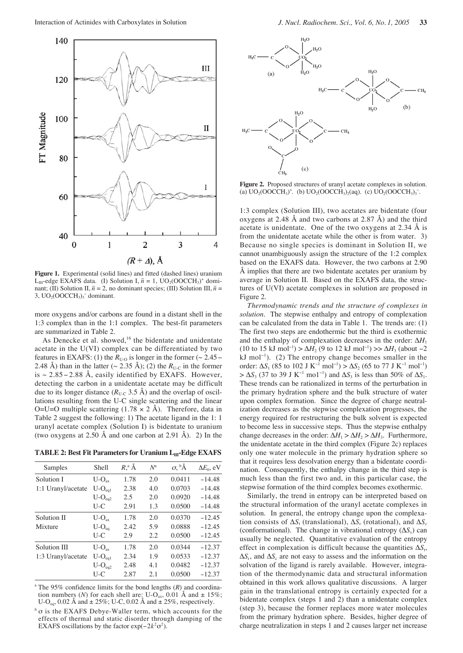

**Figure 1.** Experimental (solid lines) and fitted (dashed lines) uranium L<sub>III</sub>-edge EXAFS data. (I) Solution I,  $\bar{n} = 1$ , UO<sub>2</sub>(OOCCH<sub>3</sub>)<sup>+</sup> dominant; (II) Solution II,  $\bar{n} = 2$ , no dominant species; (III) Solution III,  $\bar{n} =$  $3, \text{UO}_2(\text{OOCCH}_3)_3$ <sup>-</sup> dominant.

more oxygens and/or carbons are found in a distant shell in the 1:3 complex than in the 1:1 complex. The best-fit parameters are summarized in Table 2.

As Denecke et al. showed,<sup>16</sup> the bidentate and unidentate acetate in the U(VI) complex can be differentiated by two features in EXAFS: (1) the  $R_{U_O}$  is longer in the former (~ 2.45 – 2.48 Å) than in the latter ( $\sim$  2.35 Å); (2) the  $R_{\text{U-C}}$  in the former is ~ 2.85 − 2.88 Å, easily identified by EXAFS. However, detecting the carbon in a unidentate acetate may be difficult due to its longer distance  $(R<sub>U-C</sub> 3.5 \text{ Å})$  and the overlap of oscillations resulting from the U-C single scattering and the linear O=U=O multiple scattering  $(1.78 \times 2 \text{ Å})$ . Therefore, data in Table 2 suggest the following: 1) The acetate ligand in the 1: 1 uranyl acetate complex (Solution I) is bidentate to uranium (two oxygens at 2.50 Å and one carbon at 2.91 Å). 2) In the

**TABLE 2: Best Fit Parameters for Uranium L<sub>III</sub>-Edge EXAFS** 

| Samples            | Shell              | $R,^{\rm a}$ Å | $N^{\rm a}$ | $\sigma$ , ${}^{\rm b}\!$ Å | $\Delta E_0$ , eV |
|--------------------|--------------------|----------------|-------------|-----------------------------|-------------------|
| Solution I         | $U$ - $O_{\rm av}$ | 1.78           | 2.0         | 0.0411                      | $-14.48$          |
| 1:1 Uranyl/acetate | $U$ - $O_{eq1}$    | 2.38           | 4.0         | 0.0703                      | $-14.48$          |
|                    | $U$ - $O_{eq2}$    | 2.5            | 2.0         | 0.0920                      | $-14.48$          |
|                    | $U-C$              | 2.91           | 1.3         | 0.0500                      | $-14.48$          |
| Solution II        | $U$ - $O_{\rm av}$ | 1.78           | 2.0         | 0.0370                      | $-12.45$          |
| Mixture            | $U$ - $O_{eq}$     | 2.42           | 5.9         | 0.0888                      | $-12.45$          |
|                    | $U-C$              | 2.9            | 2.2         | 0.0500                      | $-12.45$          |
| Solution III       | $U$ - $O_{\rm av}$ | 1.78           | 2.0         | 0.0344                      | $-12.37$          |
| 1:3 Uranyl/acetate | $U$ - $O_{eq1}$    | 2.34           | 1.9         | 0.0533                      | $-12.37$          |
|                    | $U$ - $O_{eq2}$    | 2.48           | 4.1         | 0.0482                      | $-12.37$          |
|                    | U-C                | 2.87           | 2.1         | 0.0500                      | $-12.37$          |

<sup>a</sup> The 95% confidence limits for the bond lengths  $(R)$  and coordination numbers (*N*) for each shell are: U-O<sub>ax</sub>, 0.01 A and  $\pm$  15%; U-O<sub>eq</sub>, 0.02 Å and  $\pm$  25%; U-C, 0.02 Å and  $\pm$  25%, respectively.

 $\delta$  o is the EXAFS Debye-Waller term, which accounts for the effects of thermal and static disorder through damping of the EXAFS oscillations by the factor  $exp(-2k^2\sigma^2)$ .



**Figure 2.** Proposed structures of uranyl acetate complexes in solution. (a)  $UO_2(OOCCH_3)^+$ . (b)  $UO_2(OOCCH_3)_2(aq)$ . (c)  $UO_2(OOCCH_3)_3^-$ .

1:3 complex (Solution III), two acetates are bidentate (four oxygens at 2.48 Å and two carbons at 2.87 Å) and the third acetate is unidentate. One of the two oxygens at 2.34 Å is from the unidentate acetate while the other is from water. 3) Because no single species is dominant in Solution II, we cannot unambiguously assign the structure of the 1:2 complex based on the EXAFS data. However, the two carbons at 2.90 Å implies that there are two bidentate acetates per uranium by average in Solution II. Based on the EXAFS data, the structures of U(VI) acetate complexes in solution are proposed in Figure 2.

*Thermodynamic trends and the structure of complexes in solution*. The stepwise enthalpy and entropy of complexation can be calculated from the data in Table 1. The trends are: (1) The first two steps are endothermic but the third is exothermic and the enthalpy of complexation decreases in the order: ∆*H*<sup>1</sup> (10 to 15 kJ mol<sup>-1</sup>) >  $\Delta H_2$  (9 to 12 kJ mol<sup>-1</sup>) >>  $\Delta H_3$  (about -2 kJ mol<sup>−</sup><sup>1</sup> ). (2) The entropy change becomes smaller in the order:  $\Delta S_1$  (85 to 102 J K<sup>-1</sup> mol<sup>-1</sup>) >  $\Delta S_2$  (65 to 77 J K<sup>-1</sup> mol<sup>-1</sup>)  $> \Delta S_3$  (37 to 39 J K<sup>-1</sup> mo1<sup>-1</sup>) and  $\Delta S_3$  is less than 50% of  $\Delta S_1$ . These trends can be rationalized in terms of the perturbation in the primary hydration sphere and the bulk structure of water upon complex formation. Since the degree of charge neutralization decreases as the stepwise complexation progresses, the energy required for restructuring the bulk solvent is expected to become less in successive steps. Thus the stepwise enthalpy change decreases in the order:  $\Delta H_1 > \Delta H_2 > \Delta H_3$ . Furthermore, the unidentate acetate in the third complex (Figure 2c) replaces only one water molecule in the primary hydration sphere so that it requires less desolvation energy than a bidentate coordination. Consequently, the enthalpy change in the third step is much less than the first two and, in this particular case, the stepwise formation of the third complex becomes exothermic.

Similarly, the trend in entropy can be interpreted based on the structural information of the uranyl acetate complexes in solution. In general, the entropy change upon the complexation consists of  $\Delta S_t$  (translational),  $\Delta S_r$  (rotational), and  $\Delta S_c$ (conformational). The change in vibrational entropy (ΔS<sub>v</sub>) can usually be neglected. Quantitative evaluation of the entropy effect in complexation is difficult because the quantities ∆*S*t,  $\Delta S_r$ , and  $\Delta S_c$  are not easy to assess and the information on the solvation of the ligand is rarely available. However, integration of the thermodynamic data and structural information obtained in this work allows qualitative discussions. A larger gain in the translational entropy is certainly expected for a bidentate complex (steps 1 and 2) than a unidentate complex (step 3), because the former replaces more water molecules from the primary hydration sphere. Besides, higher degree of charge neutralization in steps 1 and 2 causes larger net increase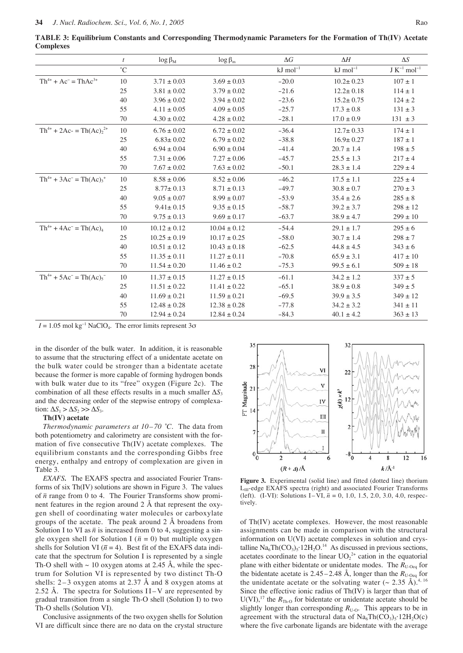**TABLE 3: Equilibrium Constants and Corresponding Thermodynamic Parameters for the Formation of Th(IV) Acetate Complexes**

|                                          | $\mathfrak{t}$  | $\log \beta_{\rm M}$ | $\log \beta_{\rm m}$ | $\Delta G$             | $\Delta H$             | $\Delta S$                   |
|------------------------------------------|-----------------|----------------------|----------------------|------------------------|------------------------|------------------------------|
|                                          | $\rm ^{\circ}C$ |                      |                      | $kJ$ mol <sup>-1</sup> | $kJ$ mol <sup>-1</sup> | $J K^{-1}$ mol <sup>-1</sup> |
| $Th^{4+} + Ac^{-} = ThAc^{3+}$           | 10              | $3.71 \pm 0.03$      | $3.69 \pm 0.03$      | $-20.0$                | $10.2 \pm 0.23$        | $107 \pm 1$                  |
|                                          | 25              | $3.81 \pm 0.02$      | $3.79 \pm 0.02$      | $-21.6$                | $12.2 \pm 0.18$        | $114 \pm 1$                  |
|                                          | 40              | $3.96 \pm 0.02$      | $3.94 \pm 0.02$      | $-23.6$                | $15.2 \pm 0.75$        | $124 \pm 2$                  |
|                                          | 55              | $4.11 \pm 0.05$      | $4.09 \pm 0.05$      | $-25.7$                | $17.3 \pm 0.8$         | $131 \pm 3$                  |
|                                          | 70              | $4.30 \pm 0.02$      | $4.28 \pm 0.02$      | $-28.1$                | $17.0 \pm 0.9$         | $131 \pm 3$                  |
| $Th^{4+} + 2Ac = Th(Ac)22+$              | 10              | $6.76 \pm 0.02$      | $6.72 \pm 0.02$      | $-36.4$                | $12.7 \pm 0.33$        | $174 \pm 1$                  |
|                                          | 25              | $6.83 \pm 0.02$      | $6.79 \pm 0.02$      | $-38.8$                | $16.9 \pm 0.27$        | $187\pm1$                    |
|                                          | 40              | $6.94 \pm 0.04$      | $6.90 \pm 0.04$      | $-41.4$                | $20.7 \pm 1.4$         | $198 \pm 5$                  |
|                                          | 55              | $7.31 \pm 0.06$      | $7.27 \pm 0.06$      | $-45.7$                | $25.5 \pm 1.3$         | $217 \pm 4$                  |
|                                          | 70              | $7.67 \pm 0.02$      | $7.63 \pm 0.02$      | $-50.1$                | $28.3 \pm 1.4$         | $229 \pm 4$                  |
| $Th^{4+} + 3Ac^- = Th(Ac)3$ <sup>+</sup> | 10              | $8.58 \pm 0.06$      | $8.52 \pm 0.06$      | $-46.2$                | $17.5 \pm 1.1$         | $225 \pm 4$                  |
|                                          | 25              | $8.77 \pm 0.13$      | $8.71 \pm 0.13$      | $-49.7$                | $30.8 \pm 0.7$         | $270 \pm 3$                  |
|                                          | 40              | $9.05 \pm 0.07$      | $8.99 \pm 0.07$      | $-53.9$                | $35.4 \pm 2.6$         | $285 \pm 8$                  |
|                                          | 55              | $9.41 \pm 0.15$      | $9.35 \pm 0.15$      | $-58.7$                | $39.2 \pm 3.7$         | $298 \pm 12$                 |
|                                          | 70              | $9.75 \pm 0.13$      | $9.69 \pm 0.17$      | $-63.7$                | $38.9 \pm 4.7$         | $299 \pm 10$                 |
| $Th^{4+} + 4Ac^{-} = Th(Ac)4$            | 10              | $10.12 \pm 0.12$     | $10.04 \pm 0.12$     | $-54.4$                | $29.1 \pm 1.7$         | $295 \pm 6$                  |
|                                          | 25              | $10.25 \pm 0.19$     | $10.17 \pm 0.25$     | $-58.0$                | $30.7 \pm 1.4$         | $298 \pm 7$                  |
|                                          | 40              | $10.51 \pm 0.12$     | $10.43 \pm 0.18$     | $-62.5$                | $44.8 \pm 4.5$         | $343 \pm 6$                  |
|                                          | 55              | $11.35 \pm 0.11$     | $11.27 \pm 0.11$     | $-70.8$                | $65.9 \pm 3.1$         | $417\pm10$                   |
|                                          | 70              | $11.54 \pm 0.20$     | $11.46 \pm 0.2$      | $-75.3$                | $99.5 \pm 6.1$         | $509\pm18$                   |
| $Th^{4+} + 5Ac^{-} = Th(Ac)^{-}$         | 10              | $11.37 \pm 0.15$     | $11.27 \pm 0.15$     | $-61.1$                | $34.2 \pm 1.2$         | $337 \pm 5$                  |
|                                          | 25              | $11.51 \pm 0.22$     | $11.41 \pm 0.22$     | $-65.1$                | $38.9\pm0.8$           | $349 \pm 5$                  |
|                                          | 40              | $11.69 \pm 0.21$     | $11.59 \pm 0.21$     | $-69.5$                | $39.9 \pm 3.5$         | $349 \pm 12$                 |
|                                          | 55              | $12.48 \pm 0.28$     | $12.38 \pm 0.28$     | $-77.8$                | $34.2 \pm 3.2$         | $341 \pm 11$                 |
|                                          | 70              | $12.94 \pm 0.24$     | $12.84 \pm 0.24$     | $-84.3$                | $40.1 \pm 4.2$         | $363 \pm 13$                 |

 $I = 1.05$  mol kg<sup>-1</sup> NaClO<sub>4</sub>. The error limits represent 3 $\sigma$ 

in the disorder of the bulk water. In addition, it is reasonable to assume that the structuring effect of a unidentate acetate on the bulk water could be stronger than a bidentate acetate because the former is more capable of forming hydrogen bonds with bulk water due to its "free" oxygen (Figure 2c). The combination of all these effects results in a much smaller Δ*S*<sub>3</sub> and the decreasing order of the stepwise entropy of complexation:  $\Delta S_1 > \Delta S_2 >> \Delta S_3$ .

#### **Th(IV) acetate**

*Thermodynamic parameters at 10–70 ˚C*. The data from both potentiometry and calorimetry are consistent with the formation of five consecutive Th(IV) acetate complexes. The equilibrium constants and the corresponding Gibbs free energy, enthalpy and entropy of complexation are given in Table 3.

*EXAFS.* The EXAFS spectra and associated Fourier Transforms of six Th(IV) solutions are shown in Figure 3. The values of  $\bar{n}$  range from 0 to 4. The Fourier Transforms show prominent features in the region around 2 Å that represent the oxygen shell of coordinating water molecules or carboxylate groups of the acetate. The peak around 2 Å broadens from Solution I to VI as  $\bar{n}$  is increased from 0 to 4, suggesting a single oxygen shell for Solution I ( $\bar{n} = 0$ ) but multiple oxygen shells for Solution VI ( $\bar{n}$  = 4). Best fit of the EXAFS data indicate that the spectrum for Solution I is represented by a single Th-O shell with  $\sim$  10 oxygen atoms at 2.45 Å, while the spectrum for Solution VI is represented by two distinct Th-O shells:  $2-3$  oxygen atoms at 2.37 Å and 8 oxygen atoms at 2.52 Å. The spectra for Solutions  $II-V$  are represented by gradual transition from a single Th-O shell (Solution I) to two Th-O shells (Solution VI).

Conclusive assignments of the two oxygen shells for Solution VI are difficult since there are no data on the crystal structure



**Figure 3.** Experimental (solid line) and fitted (dotted line) thorium L<sub>III</sub>-edge EXAFS spectra (right) and associated Fourier Transforms (left). (I-VI): Solutions I-VI,  $\bar{n} = 0$ , 1.0, 1.5, 2.0, 3.0, 4.0, respectively.

of Th(IV) acetate complexes. However, the most reasonable assignments can be made in comparison with the structural information on U(VI) acetate complexes in solution and crystalline  $\text{Na}_6\text{Th}(\text{CO}_3)$ <sub>5</sub>·12H<sub>2</sub>O.<sup>14</sup> As discussed in previous sections, acetates coordinate to the linear  $UO_2^{2+}$  cation in the equatorial plane with either bidentate or unidentate modes. The  $R_{U\text{-}O\text{eq}}$  for the bidentate acetate is  $2.45 - 2.48$  Å, longer than the  $R_{U\text{-}O\text{eq}}$  for the unidentate acetate or the solvating water ( $\sim 2.35 \text{ Å}$ ).<sup>4, 16</sup> Since the effective ionic radius of Th(IV) is larger than that of  $U(VI)$ ,<sup>17</sup> the  $R_{Th-O}$  for bidentate or unidentate acetate should be slightly longer than corresponding  $R_{\text{U-O}}$ . This appears to be in agreement with the structural data of  $\text{Na}_6\text{Th}(\text{CO}_3)_5 \cdot 12\text{H}_2\text{O}(c)$ where the five carbonate ligands are bidentate with the average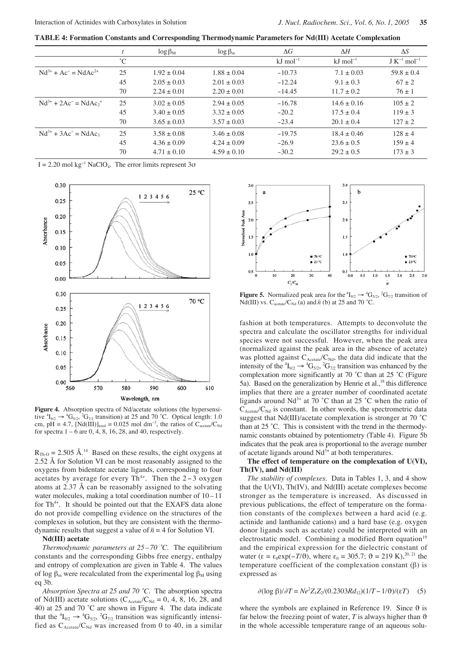**TABLE 4: Formation Constants and Corresponding Thermodynamic Parameters for Nd(III) Acetate Complexation** 

|                                  |             | $\log \beta_{\rm M}$ | $\log \beta_{\rm m}$ | $\Delta G$            | $\Delta H$            | $\Delta S$                   |
|----------------------------------|-------------|----------------------|----------------------|-----------------------|-----------------------|------------------------------|
|                                  | $^{\circ}C$ |                      |                      | $kJ \text{ mol}^{-1}$ | $kJ \text{ mol}^{-1}$ | $J K^{-1}$ mol <sup>-1</sup> |
| $Nd^{3+} + Ac^{-} = NdAc^{2+}$   | 25          | $1.92 \pm 0.04$      | $1.88 \pm 0.04$      | $-10.73$              | $7.1 \pm 0.03$        | $59.8 \pm 0.4$               |
|                                  | 45          | $2.05 \pm 0.03$      | $2.01 \pm 0.03$      | $-12.24$              | $9.1 \pm 0.3$         | $67 + 2$                     |
|                                  | 70          | $2.24 \pm 0.01$      | $2.20 \pm 0.01$      | $-14.45$              | $11.7 \pm 0.2$        | $76 \pm 1$                   |
| $Nd^{3+} + 2Ac^{-} = NdAc_2^{+}$ | 25          | $3.02 \pm 0.05$      | $2.94 \pm 0.05$      | $-16.78$              | $14.6 \pm 0.16$       | $105 \pm 2$                  |
|                                  | 45          | $3.40 \pm 0.05$      | $3.32 \pm 0.05$      | $-20.2$               | $17.5 \pm 0.4$        | $119 \pm 3$                  |
|                                  | 70          | $3.65 \pm 0.03$      | $3.57 \pm 0.03$      | $-23.4$               | $20.1 \pm 0.4$        | $127 \pm 2$                  |
| $Nd^{3+} + 3Ac^{-} = NdAc_3$     | 25          | $3.58 \pm 0.08$      | $3.46 \pm 0.08$      | $-19.75$              | $18.4 \pm 0.46$       | $128 \pm 4$                  |
|                                  | 45          | $4.36 \pm 0.09$      | $4.24 \pm 0.09$      | $-26.9$               | $23.6 \pm 0.5$        | $159 \pm 4$                  |
|                                  | 70          | $4.71 \pm 0.10$      | $4.59 \pm 0.10$      | $-30.2$               | $29.2 \pm 0.5$        | $173 \pm 3$                  |
|                                  |             |                      |                      |                       |                       |                              |

I = 2.20 mol kg<sup>-1</sup> NaClO<sub>4</sub>. The error limits represent 3 $\sigma$ 



**Figure 4.** Absorption spectra of Nd/acetate solutions (the hypersensitive  ${}^4I_{9/2} \rightarrow {}^4G_{5/2}$ ,  ${}^2G_{7/2}$  transition) at 25 and 70 °C. Optical length: 1.0 cm, pH = 4.7, [Nd(III)]<sub>total</sub> = 0.025 mol dm<sup>-3</sup>, the ratios of  $C_{\text{acetate}}/C_{\text{Nd}}$ for spectra  $1 - 6$  are  $0, 4, 8, 16, 28,$  and  $40$ , respectively.

 $R_{Th-O} = 2.505 \text{ Å}^{14}$  Based on these results, the eight oxygens at 2.52 Å for Solution VI can be most reasonably assigned to the oxygens from bidentate acetate ligands, corresponding to four acetates by average for every Th<sup>4+</sup>. Then the  $2-3$  oxygen atoms at 2.37 Å can be reasonably assigned to the solvating water molecules, making a total coordination number of  $10-11$ for  $Th^{4+}$ . It should be pointed out that the EXAFS data alone do not provide compelling evidence on the structures of the complexes in solution, but they are consistent with the thermodynamic results that suggest a value of  $\bar{n} = 4$  for Solution VI.

#### **Nd(III) acetate**

*Thermodynamic parameters at 25 – 70 ˚C.* The equilibrium constants and the corresponding Gibbs free energy, enthalpy and entropy of complexation are given in Table 4. The values of log  $\beta_m$  were recalculated from the experimental log  $\beta_M$  using eq 3b.

*Absorption Spectra at 25 and 70 ˚C.* The absorption spectra of Nd(III) acetate solutions ( $C_{\text{Acetate}}/C_{\text{Nd}} = 0, 4, 8, 16, 28,$  and 40) at 25 and 70 ˚C are shown in Figure 4. The data indicate that the  ${}^{4}I_{9/2} \rightarrow {}^{4}G_{5/2}$ ,  ${}^{2}G_{7/2}$  transition was significantly intensified as  $C_{\text{Acetate}}/C_{\text{Nd}}$  was increased from 0 to 40, in a similar



**Figure 5.** Normalized peak area for the  ${}^4I_{9/2} \rightarrow {}^4G_{5/2}$ ,  ${}^2G_{7/2}$  transition of Nd(III) vs.  $C_{\text{acetate}}/C_{\text{Nd}}$  (a) and  $\bar{n}$  (b) at 25 and 70 °C.

fashion at both temperatures. Attempts to deconvolute the spectra and calculate the oscillator strengths for individual species were not successful. However, when the peak area (normalized against the peak area in the absence of acetate) was plotted against  $C_{\text{Acetate}}/C_{\text{Nd}}$ , the data did indicate that the intensity of the  ${}^4I_{9/2} \rightarrow {}^4G_{5/2}$ ,  ${}^2G_{7/2}$  transition was enhanced by the complexation more significantly at 70 °C than at 25 °C (Figure 5a). Based on the generalization by Henrie et al.,<sup>18</sup> this difference implies that there are a greater number of coordinated acetate ligands around  $Nd^{3+}$  at 70 °C than at 25 °C when the ratio of  $C_{\text{Acetate}}/C_{\text{Nd}}$  is constant. In other words, the spectrometric data suggest that Nd(III)/acetate complexation is stronger at 70 ˚C than at 25 ˚C. This is consistent with the trend in the thermodynamic constants obtained by potentiometry (Table 4). Figure 5b indicates that the peak area is proportional to the average number of acetate ligands around  $Nd^{3+}$  at both temperatures.

#### **The effect of temperature on the complexation of U(VI), Th(IV), and Nd(III)**

*The stability of complexes.* Data in Tables 1, 3, and 4 show that the U(VI), Th(IV), and Nd(III) acetate complexes become stronger as the temperature is increased. As discussed in previous publications, the effect of temperature on the formation constants of the complexes between a hard acid (e.g. actinide and lanthanide cations) and a hard base (e.g. oxygen donor ligands such as acetate) could be interpreted with an electrostatic model. Combining a modified Born equation<sup>19</sup> and the empirical expression for the dielectric constant of water ( $\varepsilon = \varepsilon_0 \exp(-T/\vartheta)$ , where  $\varepsilon_0 = 305.7$ ;  $\vartheta = 219$  K),<sup>20, 21</sup> the temperature coefficient of the complexation constant  $(\beta)$  is expressed as

$$
\partial(\log \beta)/\partial T = Ne^2 Z_1 Z_2 / (0.2303 R d_{12})(1/T - 1/\vartheta)/(\varepsilon T) \quad (5)
$$

where the symbols are explained in Reference 19. Since  $\vartheta$  is far below the freezing point of water,  $T$  is always higher than  $\vartheta$ in the whole accessible temperature range of an aqueous solu-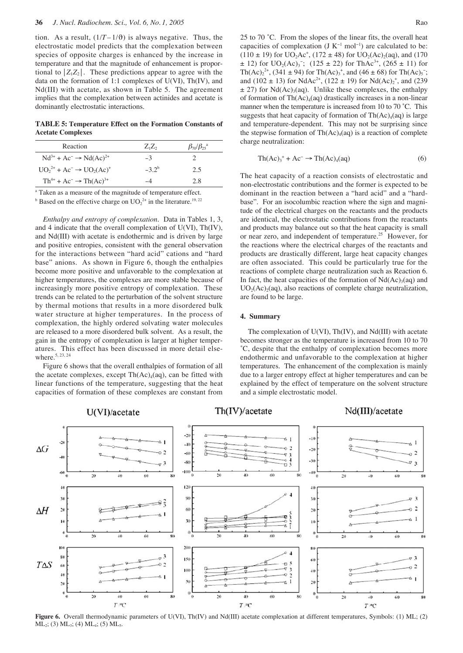tion. As a result,  $(1/T - 1/\theta)$  is always negative. Thus, the electrostatic model predicts that the complexation between species of opposite charges is enhanced by the increase in temperature and that the magnitude of enhancement is proportional to  $|Z_1Z_2|$ . These predictions appear to agree with the data on the formation of 1:1 complexes of U(VI), Th(IV), and Nd(III) with acetate, as shown in Table 5. The agreement implies that the complexation between actinides and acetate is dominantly electrostatic interactions.

**TABLE 5: Temperature Effect on the Formation Constants of Acetate Complexes**

| Reaction                                   | $Z_1Z_2$   | $\beta_{70}/\beta_{25}$ <sup>a</sup> |
|--------------------------------------------|------------|--------------------------------------|
| $Nd^{3+} + Ac^{-} \rightarrow Nd(Ac)^{2+}$ | $-3$       |                                      |
| $UO_2^{2+} + Ac^- \rightarrow UO_2(Ac)^+$  | $-3.2^{b}$ | 2.5                                  |
| $Th^{4+} + Ac^{-} \rightarrow Th(Ac)^{3+}$ | -4         | 2.8                                  |

<sup>a</sup> Taken as a measure of the magnitude of temperature effect.

<sup>b</sup> Based on the effective charge on  $UO_2^{2+}$  in the literature.<sup>19, 22</sup>

*Enthalpy and entropy of complexation.* Data in Tables 1, 3, and 4 indicate that the overall complexation of U(VI), Th(IV), and Nd(III) with acetate is endothermic and is driven by large and positive entropies, consistent with the general observation for the interactions between "hard acid" cations and "hard base" anions. As shown in Figure 6, though the enthalpies become more positive and unfavorable to the complexation at higher temperatures, the complexes are more stable because of increasingly more positive entropy of complexation. These trends can be related to the perturbation of the solvent structure by thermal motions that results in a more disordered bulk water structure at higher temperatures. In the process of complexation, the highly ordered solvating water molecules are released to a more disordered bulk solvent. As a result, the gain in the entropy of complexation is larger at higher temperatures. This effect has been discussed in more detail elsewhere.<sup>5, 23, 24</sup>

Figure 6 shows that the overall enthalpies of formation of all the acetate complexes, except  $\text{Th}(Ac)_{4}(aq)$ , can be fitted with linear functions of the temperature, suggesting that the heat capacities of formation of these complexes are constant from 25 to 70 ˚C. From the slopes of the linear fits, the overall heat capacities of complexation (J K<sup>-1</sup> mol<sup>-1</sup>) are calculated to be:  $(110 \pm 19)$  for UO<sub>2</sub>Ac<sup>+</sup>,  $(172 \pm 48)$  for UO<sub>2</sub>(Ac)<sub>2</sub>(aq), and (170)  $\pm$  12) for UO<sub>2</sub>(Ac)<sub>3</sub><sup>-</sup>; (125  $\pm$  22) for ThAc<sup>3+</sup>, (265  $\pm$  11) for Th(Ac)<sub>2</sub><sup>2+</sup>, (341 ± 94) for Th(Ac)<sub>3</sub><sup>+</sup>, and (46 ± 68) for Th(Ac)<sub>5</sub><sup>-</sup>; and (102  $\pm$  13) for NdAc<sup>2+</sup>, (122  $\pm$  19) for Nd(Ac)<sub>2</sub><sup>+</sup>, and (239  $\pm$  27) for Nd(Ac)<sub>3</sub>(aq). Unlike these complexes, the enthalpy of formation of  $Th(Ac)<sub>4</sub>(aq)$  drastically increases in a non-linear manner when the temperature is increased from 10 to 70 °C. This suggests that heat capacity of formation of  $Th(Ac)/(aa)$  is large and temperature-dependent. This may not be surprising since the stepwise formation of  $Th(Ac)<sub>4</sub>(aq)$  is a reaction of complete charge neutralization:

$$
Th(Ac)3+ + Ac- \to Th(Ac)4(aq)
$$
 (6)

The heat capacity of a reaction consists of electrostatic and non-electrostatic contributions and the former is expected to be dominant in the reaction between a "hard acid" and a "hardbase". For an isocolumbic reaction where the sign and magnitude of the electrical charges on the reactants and the products are identical, the electrostatic contributions from the reactants and products may balance out so that the heat capacity is small or near zero, and independent of temperature.<sup>25</sup> However, for the reactions where the electrical charges of the reactants and products are drastically different, large heat capacity changes are often associated. This could be particularly true for the reactions of complete charge neutralization such as Reaction 6. In fact, the heat capacities of the formation of  $Nd(Ac)_{3}(aq)$  and  $UO<sub>2</sub>(Ac)<sub>2</sub>(aq)$ , also reactions of complete charge neutralization, are found to be large.

#### **4. Summary**

The complexation of U(VI), Th(IV), and Nd(III) with acetate becomes stronger as the temperature is increased from 10 to 70 ˚C, despite that the enthalpy of complexation becomes more endothermic and unfavorable to the complexation at higher temperatures. The enhancement of the complexation is mainly due to a larger entropy effect at higher temperatures and can be explained by the effect of temperature on the solvent structure and a simple electrostatic model.



**Figure 6.** Overall thermodynamic parameters of U(VI), Th(IV) and Nd(III) acetate complexation at different temperatures, Symbols: (1) ML; (2)  $ML_2$ ; (3)  $ML_3$ ; (4)  $ML_4$ ; (5)  $ML_5$ .